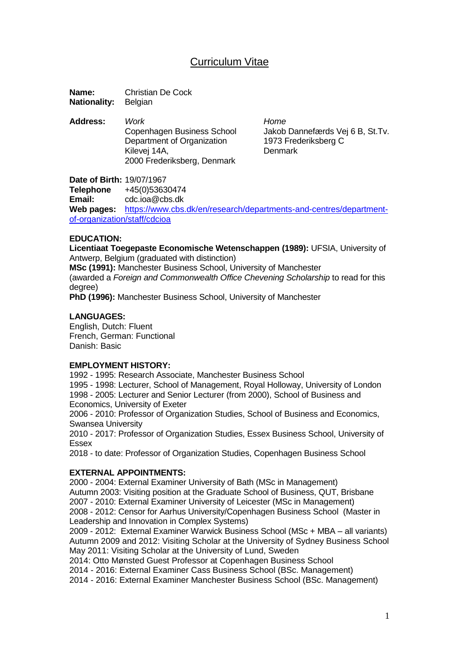# Curriculum Vitae

**Name:** Christian De Cock **Nationality:** Belgian

**Address:** *Work Home* Department of Organization 1973 Frederiksberg C Kilevei 14A, **Denmark** 2000 Frederiksberg, Denmark

Copenhagen Business School Jakob Dannefærds Vej 6 B, St.Tv.

**Date of Birth:** 19/07/1967 **Telephone** +45(0)53630474 **Email:** cdc.ioa@cbs.dk **Web pages:** [https://www.cbs.dk/en/research/departments-and-centres/department](https://www.cbs.dk/en/research/departments-and-centres/department-of-organization/staff/cdcioa)[of-organization/staff/cdcioa](https://www.cbs.dk/en/research/departments-and-centres/department-of-organization/staff/cdcioa)

# **EDUCATION:**

**Licentiaat Toegepaste Economische Wetenschappen (1989):** UFSIA, University of Antwerp, Belgium (graduated with distinction)

**MSc (1991):** Manchester Business School, University of Manchester

(awarded a *Foreign and Commonwealth Office Chevening Scholarship* to read for this degree)

**PhD (1996):** Manchester Business School, University of Manchester

# **LANGUAGES:**

English, Dutch: Fluent French, German: Functional Danish: Basic

### **EMPLOYMENT HISTORY:**

1992 - 1995: Research Associate, Manchester Business School

1995 - 1998: Lecturer, School of Management, Royal Holloway, University of London 1998 - 2005: Lecturer and Senior Lecturer (from 2000), School of Business and Economics, University of Exeter

2006 - 2010: Professor of Organization Studies, School of Business and Economics, Swansea University

2010 - 2017: Professor of Organization Studies, Essex Business School, University of Essex

2018 - to date: Professor of Organization Studies, Copenhagen Business School

### **EXTERNAL APPOINTMENTS:**

2000 - 2004: External Examiner University of Bath (MSc in Management) Autumn 2003: Visiting position at the Graduate School of Business, QUT, Brisbane 2007 *-* 2010: External Examiner University of Leicester (MSc in Management) 2008 - 2012: Censor for Aarhus University/Copenhagen Business School (Master in Leadership and Innovation in Complex Systems)

2009 - 2012: External Examiner Warwick Business School (MSc + MBA – all variants) Autumn 2009 and 2012: Visiting Scholar at the University of Sydney Business School May 2011: Visiting Scholar at the University of Lund, Sweden

2014: Otto Mønsted Guest Professor at Copenhagen Business School

2014 - 2016: External Examiner Cass Business School (BSc. Management)

2014 - 2016: External Examiner Manchester Business School (BSc. Management)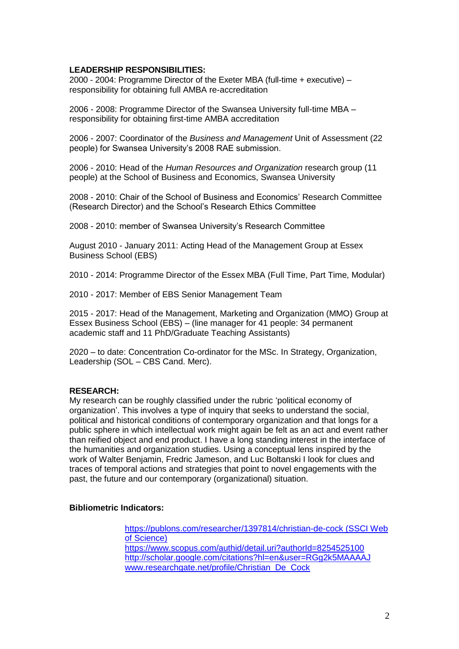# **LEADERSHIP RESPONSIBILITIES:**

2000 - 2004: Programme Director of the Exeter MBA (full-time + executive) – responsibility for obtaining full AMBA re-accreditation

2006 - 2008: Programme Director of the Swansea University full-time MBA – responsibility for obtaining first-time AMBA accreditation

2006 - 2007: Coordinator of the *Business and Management* Unit of Assessment (22 people) for Swansea University's 2008 RAE submission.

2006 - 2010: Head of the *Human Resources and Organization* research group (11 people) at the School of Business and Economics, Swansea University

2008 - 2010: Chair of the School of Business and Economics' Research Committee (Research Director) and the School's Research Ethics Committee

2008 - 2010: member of Swansea University's Research Committee

August 2010 - January 2011: Acting Head of the Management Group at Essex Business School (EBS)

2010 - 2014: Programme Director of the Essex MBA (Full Time, Part Time, Modular)

2010 - 2017: Member of EBS Senior Management Team

2015 - 2017: Head of the Management, Marketing and Organization (MMO) Group at Essex Business School (EBS) – (line manager for 41 people: 34 permanent academic staff and 11 PhD/Graduate Teaching Assistants)

2020 – to date: Concentration Co-ordinator for the MSc. In Strategy, Organization, Leadership (SOL – CBS Cand. Merc).

### **RESEARCH:**

My research can be roughly classified under the rubric 'political economy of organization'. This involves a type of inquiry that seeks to understand the social, political and historical conditions of contemporary organization and that longs for a public sphere in which intellectual work might again be felt as an act and event rather than reified object and end product. I have a long standing interest in the interface of the humanities and organization studies. Using a conceptual lens inspired by the work of Walter Benjamin, Fredric Jameson, and Luc Boltanski I look for clues and traces of temporal actions and strategies that point to novel engagements with the past, the future and our contemporary (organizational) situation.

# **Bibliometric Indicators:**

<https://publons.com/researcher/1397814/christian-de-cock> (SSCI Web of Science) <https://www.scopus.com/authid/detail.uri?authorId=8254525100> <http://scholar.google.com/citations?hl=en&user=RGg2k5MAAAAJ> [www.researchgate.net/profile/Christian\\_De\\_Cock](http://www.researchgate.net/profile/Christian_De_Cock)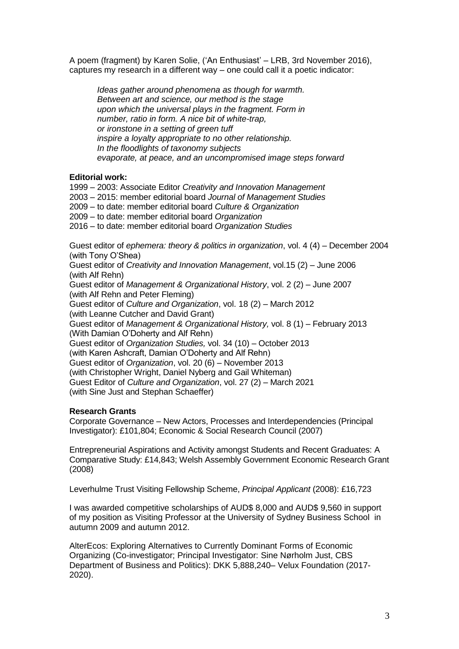A poem (fragment) by Karen Solie, ('An Enthusiast' – LRB, 3rd November 2016), captures my research in a different way – one could call it a poetic indicator:

*Ideas gather around phenomena as though for warmth. Between art and science, our method is the stage upon which the universal plays in the fragment. Form in number, ratio in form. A nice bit of white-trap, or ironstone in a setting of green tuff inspire a loyalty appropriate to no other relationship. In the floodlights of taxonomy subjects evaporate, at peace, and an uncompromised image steps forward* 

# **Editorial work:**

1999 – 2003: Associate Editor *Creativity and Innovation Management*

- 2003 2015: member editorial board *Journal of Management Studies*
- 2009 to date: member editorial board *Culture & Organization*
- 2009 to date: member editorial board *Organization*

2016 – to date: member editorial board *Organization Studies*

Guest editor of *ephemera: theory & politics in organization*, vol. 4 (4) – December 2004 (with Tony O'Shea)

Guest editor of *Creativity and Innovation Management*, vol.15 (2) – June 2006 (with Alf Rehn)

Guest editor of *Management & Organizational History*, vol. 2 (2) – June 2007 (with Alf Rehn and Peter Fleming)

Guest editor of *Culture and Organization*, vol. 18 (2) – March 2012

(with Leanne Cutcher and David Grant)

Guest editor of *Management & Organizational History,* vol. 8 (1) – February 2013 (With Damian O'Doherty and Alf Rehn)

Guest editor of *Organization Studies,* vol. 34 (10) – October 2013

(with Karen Ashcraft, Damian O'Doherty and Alf Rehn)

Guest editor of *Organization*, vol. 20 (6) – November 2013

(with Christopher Wright, Daniel Nyberg and Gail Whiteman)

Guest Editor of *Culture and Organization*, vol. 27 (2) – March 2021 (with Sine Just and Stephan Schaeffer)

# **Research Grants**

Corporate Governance – New Actors, Processes and Interdependencies (Principal Investigator): £101,804; Economic & Social Research Council (2007)

Entrepreneurial Aspirations and Activity amongst Students and Recent Graduates: A Comparative Study: £14,843; Welsh Assembly Government Economic Research Grant (2008)

Leverhulme Trust Visiting Fellowship Scheme, *Principal Applicant* (2008): £16,723

I was awarded competitive scholarships of AUD\$ 8,000 and AUD\$ 9,560 in support of my position as Visiting Professor at the University of Sydney Business School in autumn 2009 and autumn 2012.

AlterEcos: Exploring Alternatives to Currently Dominant Forms of Economic Organizing (Co-investigator; Principal Investigator: Sine Nørholm Just, CBS Department of Business and Politics): DKK 5,888,240– Velux Foundation (2017- 2020).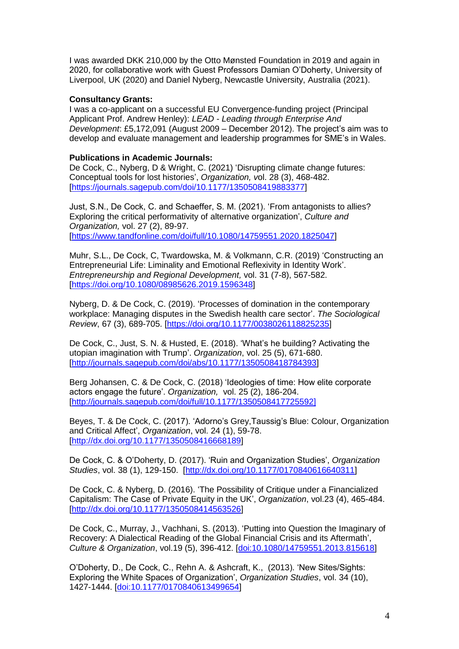I was awarded DKK 210,000 by the Otto Mønsted Foundation in 2019 and again in 2020, for collaborative work with Guest Professors Damian O'Doherty, University of Liverpool, UK (2020) and Daniel Nyberg, Newcastle University, Australia (2021).

# **Consultancy Grants:**

I was a co-applicant on a successful EU Convergence-funding project (Principal Applicant Prof. Andrew Henley): *LEAD - Leading through Enterprise And Development*: £5,172,091 (August 2009 – December 2012). The project's aim was to develop and evaluate management and leadership programmes for SME's in Wales.

# **Publications in Academic Journals:**

De Cock, C., Nyberg, D & Wright, C. (2021) 'Disrupting climate change futures: Conceptual tools for lost histories', *Organization, v*ol. 28 (3), 468-482. [\[https://journals.sagepub.com/doi/10.1177/1350508419883377\]](https://journals.sagepub.com/doi/10.1177/1350508419883377)

Just, S.N., De Cock, C. and Schaeffer, S. M. (2021). 'From antagonists to allies? Exploring the critical performativity of alternative organization', *Culture and Organization,* vol. 27 (2), 89-97. [\[https://www.tandfonline.com/doi/full/10.1080/14759551.2020.1825047\]](https://www.tandfonline.com/doi/full/10.1080/14759551.2020.1825047)

Muhr, S.L., De Cock, C, Twardowska, M. & Volkmann, C.R. (2019) 'Constructing an Entrepreneurial Life: Liminality and Emotional Reflexivity in Identity Work'. *Entrepreneurship and Regional Development,* vol. 31 (7-8), 567-582. [\[https://doi.org/10.1080/08985626.2019.1596348\]](https://doi.org/10.1080/08985626.2019.1596348)

Nyberg, D. & De Cock, C. (2019). 'Processes of domination in the contemporary workplace: Managing disputes in the Swedish health care sector'. *The Sociological Review*, 67 (3), 689-705. [\[https://doi.org/10.1177/0038026118825235\]](https://doi.org/10.1177%2F0038026118825235)

De Cock, C., Just, S. N. & Husted, E. (2018). 'What's he building? Activating the utopian imagination with Trump'. *Organization*, vol. 25 (5), 671-680. [\[http://journals.sagepub.com/doi/abs/10.1177/1350508418784393\]](http://journals.sagepub.com/doi/abs/10.1177/1350508418784393)

Berg Johansen, C. & De Cock, C. (2018) 'Ideologies of time: How elite corporate actors engage the future'. *Organization,* vol. 25 (2), 186-204. [\[http://journals.sagepub.com/doi/full/10.1177/1350508417725592\]](http://journals.sagepub.com/doi/full/10.1177/1350508417725592)

Beyes, T. & De Cock, C. (2017). 'Adorno's Grey,Taussig's Blue: Colour, Organization and Critical Affect', *Organization*, vol. 24 (1), 59-78. [\[http://dx.doi.org/10.1177/1350508416668189\]](http://dx.doi.org/10.1177/1350508416668189)

De Cock, C. & O'Doherty, D. (2017). 'Ruin and Organization Studies', *Organization Studies*, vol. 38 (1), 129-150. [\[http://dx.doi.org/10.1177/0170840616640311\]](http://dx.doi.org/10.1177/0170840616640311)

De Cock, C. & Nyberg, D. (2016). 'The Possibility of Critique under a Financialized Capitalism: The Case of Private Equity in the UK', *Organization*, vol.23 (4), 465-484. [\[http://dx.doi.org/10.1177/1350508414563526\]](http://dx.doi.org/10.1177/1350508414563526)

De Cock, C., Murray, J., Vachhani, S. (2013). 'Putting into Question the Imaginary of Recovery: A Dialectical Reading of the Global Financial Crisis and its Aftermath', *Culture & Organization*, vol.19 (5), 396-412. [\[doi:10.1080/14759551.2013.815618\]](http://dx.doi.org/10.1080/14759551.2013.815618)

O'Doherty, D., De Cock, C., Rehn A. & Ashcraft, K., (2013). 'New Sites/Sights: Exploring the White Spaces of Organization', *Organization Studies*, vol. 34 (10), 1427-1444. [\[doi:10.1177/0170840613499654\]](http://dx.doi.org/10.1177/0170840613499654)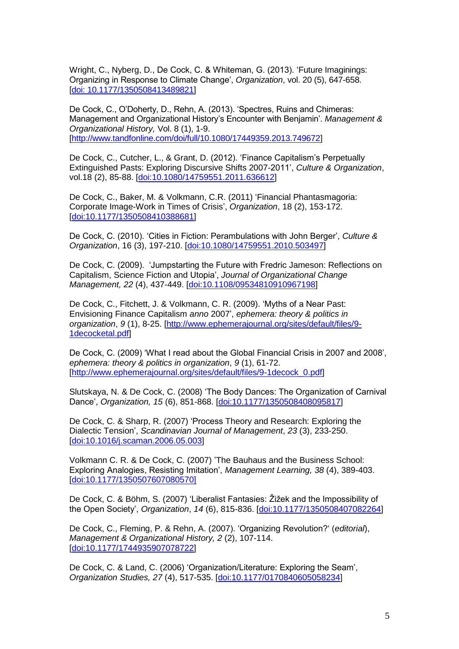Wright, C., Nyberg, D., De Cock, C. & Whiteman, G. (2013). 'Future Imaginings: Organizing in Response to Climate Change', *Organization*, vol. 20 (5), 647-658. [\[doi: 10.1177/1350508413489821\]](http://dx.doi.org/10.1177/1350508413489821)

De Cock, C., O'Doherty, D., Rehn, A. (2013). 'Spectres, Ruins and Chimeras: Management and Organizational History's Encounter with Benjamin'. *Management & Organizational History,* Vol. 8 (1), 1-9. [\[http://www.tandfonline.com/doi/full/10.1080/17449359.2013.749672\]](http://www.tandfonline.com/doi/full/10.1080/17449359.2013.749672)

De Cock, C., Cutcher, L., & Grant, D. (2012). 'Finance Capitalism's Perpetually Extinguished Pasts: Exploring Discursive Shifts 2007-2011', *Culture & Organization*, vol.18 (2), 85-88. [\[doi:10.1080/14759551.2011.636612\]](http://dx.doi.org/10.1080/14759551.2011.636612)

De Cock, C., Baker, M. & Volkmann, C.R. (2011) 'Financial Phantasmagoria: Corporate Image-Work in Times of Crisis', *Organization*, 18 (2), 153-172. [\[doi:10.1177/1350508410388681\]](http://dx.doi.org/10.1177/1350508410388681)

De Cock, C. (2010). 'Cities in Fiction: Perambulations with John Berger', *Culture & Organization*, 16 (3), 197-210. [\[doi:10.1080/14759551.2010.503497\]](http://dx.doi.org/10.1080/14759551.2010.503497)

De Cock, C. (2009). 'Jumpstarting the Future with Fredric Jameson: Reflections on Capitalism, Science Fiction and Utopia', *Journal of Organizational Change Management, 22* (4), 437-449. [\[doi:10.1108/09534810910967198\]](http://dx.doi.org/10.1108/09534810910967198)

De Cock, C., Fitchett, J. & Volkmann, C. R. (2009). 'Myths of a Near Past: Envisioning Finance Capitalism *anno* 2007', *ephemera: theory & politics in organization*, *9* (1), 8-25. [\[http://www.ephemerajournal.org/sites/default/files/9-](http://www.ephemerajournal.org/sites/default/files/9-1decocketal.pdf) [1decocketal.pdf\]](http://www.ephemerajournal.org/sites/default/files/9-1decocketal.pdf)

De Cock, C. (2009) 'What I read about the Global Financial Crisis in 2007 and 2008', *ephemera: theory & politics in organization*, *9* (1), 61-72. [\[http://www.ephemerajournal.org/sites/default/files/9-1decock\\_0.pdf\]](http://www.ephemerajournal.org/sites/default/files/9-1decock_0.pdf)

Slutskaya, N. & De Cock, C. (2008) 'The Body Dances: The Organization of Carnival Dance', *Organization, 15* (6), 851-868. [\[doi:10.1177/1350508408095817\]](http://dx.doi.org/10.1177/1350508408095817)

De Cock, C. & Sharp, R. (2007) 'Process Theory and Research: Exploring the Dialectic Tension', *Scandinavian Journal of Management*, *23* (3), 233-250. [\[doi:10.1016/j.scaman.2006.05.003\]](http://dx.doi.org/10.1016/j.scaman.2006.05.003)

Volkmann C. R. & De Cock, C. (2007) 'The Bauhaus and the Business School: Exploring Analogies, Resisting Imitation', *Management Learning, 38* (4), 389-403. [\[doi:10.1177/1350507607080570\]](http://dx.doi.org/10.1177/1350507607080570)

De Cock, C. & Böhm, S. (2007) 'Liberalist Fantasies: Žižek and the Impossibility of the Open Society', *Organization*, *14* (6), 815-836. [\[doi:10.1177/1350508407082264\]](http://dx.doi.org/10.1177/1350508407082264)

De Cock, C., Fleming, P. & Rehn, A. (2007). 'Organizing Revolution?' (*editorial*), *Management & Organizational History, 2* (2), 107-114. [\[doi:10.1177/1744935907078722\]](http://dx.doi.org/10.1177/1744935907078722)

De Cock, C. & Land, C. (2006) 'Organization/Literature: Exploring the Seam', *Organization Studies, 27* (4), 517-535. [\[doi:10.1177/0170840605058234\]](http://dx.doi.org/10.1177/0170840605058234)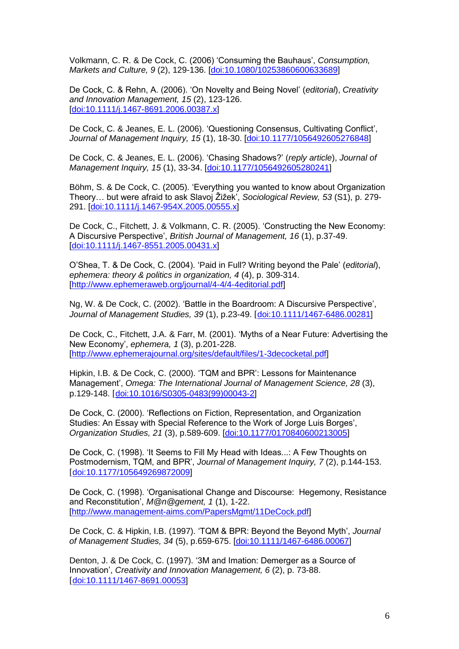Volkmann, C. R. & De Cock, C. (2006) 'Consuming the Bauhaus', *Consumption, Markets and Culture, 9* (2), 129-136. [\[doi:10.1080/10253860600633689\]](http://dx.doi.org/10.1080/10253860600633689)

De Cock, C. & Rehn, A. (2006). 'On Novelty and Being Novel' (*editorial*), *Creativity and Innovation Management, 15* (2), 123-126. [\[doi:10.1111/j.1467-8691.2006.00387.x\]](http://dx.doi.org/10.1111/j.1467-8691.2006.00387.x)

De Cock, C. & Jeanes, E. L. (2006). 'Questioning Consensus, Cultivating Conflict', *Journal of Management Inquiry, 15* (1), 18-30. [\[doi:10.1177/1056492605276848\]](http://dx.doi.org/10.1177/1056492605276848)

De Cock, C. & Jeanes, E. L. (2006). 'Chasing Shadows?' (*reply article*), *Journal of Management Inquiry, 15* (1), 33-34. [\[doi:10.1177/1056492605280241\]](http://dx.doi.org/10.1177/1056492605280241)

Böhm, S. & De Cock, C. (2005). 'Everything you wanted to know about Organization Theory… but were afraid to ask Slavoj Žižek', *Sociological Review, 53* (S1), p. 279- 291. [\[doi:10.1111/j.1467-954X.2005.00555.x\]](http://dx.doi.org/10.1111/j.1467-954X.2005.00555.x)

De Cock, C., Fitchett, J. & Volkmann, C. R. (2005). 'Constructing the New Economy: A Discursive Perspective', *British Journal of Management, 16* (1), p.37-49. [\[doi:10.1111/j.1467-8551.2005.00431.x\]](http://dx.doi.org/10.1111/j.1467-8551.2005.00431.x)

O'Shea, T. & De Cock, C. (2004). 'Paid in Full? Writing beyond the Pale' (*editorial*), *ephemera: theory & politics in organization, 4* (4), p. 309-314. [\[http://www.ephemeraweb.org/journal/4-4/4-4editorial.pdf\]](http://www.ephemeraweb.org/journal/4-4/4-4editorial.pdf)

Ng, W. & De Cock, C. (2002). 'Battle in the Boardroom: A Discursive Perspective', *Journal of Management Studies, 39* (1), p.23-49. [[doi:10.1111/1467-6486.00281\]](http://dx.doi.org/10.1111/1467-6486.00281)

De Cock, C., Fitchett, J.A. & Farr, M. (2001). 'Myths of a Near Future: Advertising the New Economy', *ephemera, 1* (3), p.201-228. [\[http://www.ephemerajournal.org/sites/default/files/1-3decocketal.pdf\]](http://www.ephemerajournal.org/sites/default/files/1-3decocketal.pdf)

Hipkin, I.B. & De Cock, C. (2000). 'TQM and BPR': Lessons for Maintenance Management', *Omega: The International Journal of Management Science, 28* (3), p.129-148. [[doi:10.1016/S0305-0483\(99\)00043-2\]](http://dx.doi.org/10.1016/S0305-0483%2899%2900043-2)

De Cock, C. (2000). 'Reflections on Fiction, Representation, and Organization Studies: An Essay with Special Reference to the Work of Jorge Luis Borges', *Organization Studies, 21* (3), p.589-609. [\[doi:10.1177/0170840600213005\]](http://dx.doi.org/10.1177/0170840600213005)

De Cock, C. (1998). 'It Seems to Fill My Head with Ideas...: A Few Thoughts on Postmodernism, TQM, and BPR', *Journal of Management Inquiry, 7* (2), p.144-153. [[doi:10.1177/105649269872009\]](http://dx.doi.org/10.1177/105649269872009)

De Cock, C. (1998). 'Organisational Change and Discourse: Hegemony, Resistance and Reconstitution', *M@n@gement, 1* (1), 1-22. [\[http://www.management-aims.com/PapersMgmt/11DeCock.pdf\]](http://www.management-aims.com/PapersMgmt/11DeCock.pdf)

De Cock, C. & Hipkin, I.B. (1997). 'TQM & BPR: Beyond the Beyond Myth', *Journal of Management Studies, 34* (5), p.659-675. [\[doi:10.1111/1467-6486.00067\]](http://dx.doi.org/10.1111/1467-6486.00067)

Denton, J. & De Cock, C. (1997). '3M and Imation: Demerger as a Source of Innovation', *Creativity and Innovation Management, 6* (2), p. 73-88. [[doi:10.1111/1467-8691.00053\]](http://dx.doi.org/10.1111/1467-8691.00053)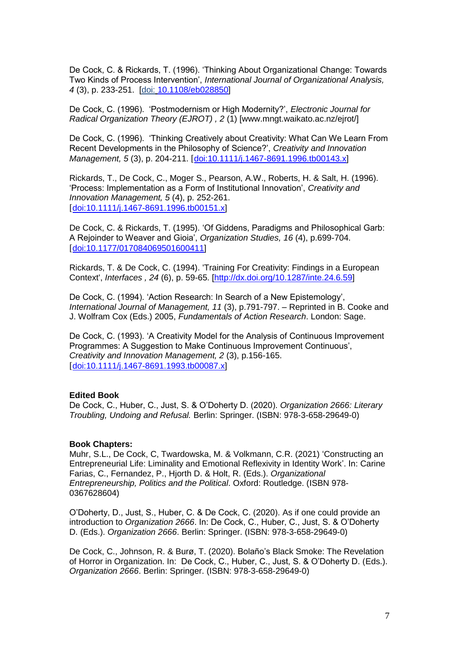De Cock, C. & Rickards, T. (1996). 'Thinking About Organizational Change: Towards Two Kinds of Process Intervention', *International Journal of Organizational Analysis, 4* (3), p. 233-251. [doi: [10.1108/eb028850\]](http://dx.doi.org/10.1108/eb028850)

De Cock, C. (1996). 'Postmodernism or High Modernity?', *Electronic Journal for Radical Organization Theory (EJROT) , 2* (1) [www.mngt.waikato.ac.nz/ejrot/]

De Cock, C. (1996). 'Thinking Creatively about Creativity: What Can We Learn From Recent Developments in the Philosophy of Science?', *Creativity and Innovation Management, 5* (3), p. 204-211. [[doi:10.1111/j.1467-8691.1996.tb00143.x\]](http://dx.doi.org/10.1111/j.1467-8691.1996.tb00143.x)

Rickards, T., De Cock, C., Moger S., Pearson, A.W., Roberts, H. & Salt, H. (1996). 'Process: Implementation as a Form of Institutional Innovation', *Creativity and Innovation Management, 5* (4), p. 252-261. [[doi:10.1111/j.1467-8691.1996.tb00151.x\]](http://dx.doi.org/10.1111/j.1467-8691.1996.tb00151.x)

De Cock, C. & Rickards, T. (1995). 'Of Giddens, Paradigms and Philosophical Garb: A Rejoinder to Weaver and Gioia', *Organization Studies, 16* (4), p.699-704. [[doi:10.1177/017084069501600411\]](http://dx.doi.org/10.1177/017084069501600411)

Rickards, T. & De Cock, C. (1994). 'Training For Creativity: Findings in a European Context', *Interfaces , 24* (6), p. 59-65. [\[http://dx.doi.org/10.1287/inte.24.6.59\]](http://dx.doi.org/10.1287/inte.24.6.59)

De Cock, C. (1994). 'Action Research: In Search of a New Epistemology', *International Journal of Management, 11* (3), p.791-797. – Reprinted in B. Cooke and J. Wolfram Cox (Eds.) 2005, *Fundamentals of Action Research*. London: Sage.

De Cock, C. (1993). 'A Creativity Model for the Analysis of Continuous Improvement Programmes: A Suggestion to Make Continuous Improvement Continuous', *Creativity and Innovation Management, 2* (3), p.156-165. [[doi:10.1111/j.1467-8691.1993.tb00087.x\]](http://dx.doi.org/10.1111/j.1467-8691.1993.tb00087.x)

#### **Edited Book**

De Cock, C., Huber, C., Just, S. & O'Doherty D. (2020). *Organization 2666: Literary Troubling, Undoing and Refusal.* Berlin: Springer. (ISBN: 978-3-658-29649-0)

#### **Book Chapters:**

Muhr, S.L., De Cock, C, Twardowska, M. & Volkmann, C.R. (2021) 'Constructing an Entrepreneurial Life: Liminality and Emotional Reflexivity in Identity Work'. In: Carine Farias, C., Fernandez, P., Hjorth D. & Holt, R. (Eds.). *Organizational Entrepreneurship, Politics and the Political*. Oxford: Routledge. (ISBN 978- 0367628604)

O'Doherty, D., Just, S., Huber, C. & De Cock, C. (2020). As if one could provide an introduction to *Organization 2666*. In: De Cock, C., Huber, C., Just, S. & O'Doherty D. (Eds.). *Organization 2666*. Berlin: Springer. (ISBN: 978-3-658-29649-0)

De Cock, C., Johnson, R. & Burø, T. (2020). Bolaño's Black Smoke: The Revelation of Horror in Organization. In: De Cock, C., Huber, C., Just, S. & O'Doherty D. (Eds.). *Organization 2666*. Berlin: Springer. (ISBN: 978-3-658-29649-0)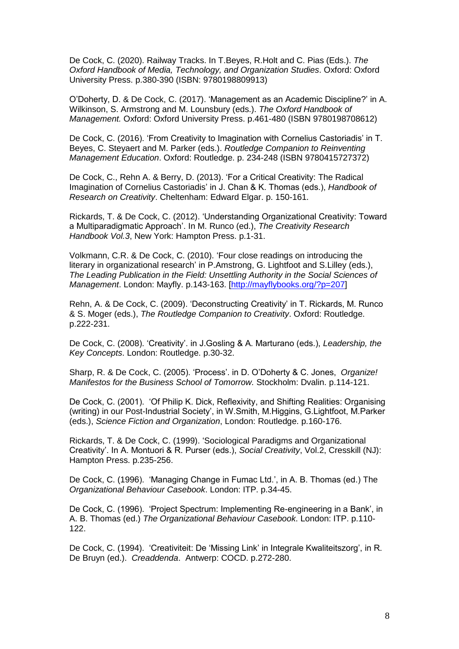De Cock, C. (2020). Railway Tracks. In T.Beyes, R.Holt and C. Pias (Eds.). *The Oxford Handbook of Media, Technology, and Organization Studies*. Oxford: Oxford University Press. p.380-390 (ISBN: 9780198809913)

O'Doherty, D. & De Cock, C. (2017). 'Management as an Academic Discipline?' in A. Wilkinson, S. Armstrong and M. Lounsbury (eds.). *The Oxford Handbook of Management.* Oxford: Oxford University Press. p.461-480 (ISBN 9780198708612)

De Cock, C. (2016). 'From Creativity to Imagination with Cornelius Castoriadis' in T. Beyes, C. Steyaert and M. Parker (eds.). *Routledge Companion to Reinventing Management Education*. Oxford: Routledge. p. 234-248 (ISBN 9780415727372)

De Cock, C., Rehn A. & Berry, D. (2013). 'For a Critical Creativity: The Radical Imagination of Cornelius Castoriadis' in J. Chan & K. Thomas (eds.), *Handbook of Research on Creativity*. Cheltenham: Edward Elgar. p. 150-161.

Rickards, T. & De Cock, C. (2012). 'Understanding Organizational Creativity: Toward a Multiparadigmatic Approach'. In M. Runco (ed.), *The Creativity Research Handbook Vol.3*, New York: Hampton Press. p.1-31.

Volkmann, C.R. & De Cock, C. (2010). 'Four close readings on introducing the literary in organizational research' in P.Amstrong, G. Lightfoot and S.Lilley (eds.), *The Leading Publication in the Field: Unsettling Authority in the Social Sciences of Management*. London: Mayfly. p.143-163. [\[http://mayflybooks.org/?p=207\]](http://mayflybooks.org/?p=207)

Rehn, A. & De Cock, C. (2009). 'Deconstructing Creativity' in T. Rickards, M. Runco & S. Moger (eds.), *The Routledge Companion to Creativity*. Oxford: Routledge. p.222-231.

De Cock, C. (2008). 'Creativity'. in J.Gosling & A. Marturano (eds.), *Leadership, the Key Concepts*. London: Routledge. p.30-32.

Sharp, R. & De Cock, C. (2005). 'Process'. in D. O'Doherty & C. Jones, *Organize! Manifestos for the Business School of Tomorrow.* Stockholm: Dvalin. p.114-121.

De Cock, C. (2001). 'Of Philip K. Dick, Reflexivity, and Shifting Realities: Organising (writing) in our Post-Industrial Society', in W.Smith, M.Higgins, G.Lightfoot, M.Parker (eds.), *Science Fiction and Organization*, London: Routledge. p.160-176.

Rickards, T. & De Cock, C. (1999). 'Sociological Paradigms and Organizational Creativity'. In A. Montuori & R. Purser (eds.), *Social Creativity*, Vol.2, Cresskill (NJ): Hampton Press. p.235-256.

De Cock, C. (1996). 'Managing Change in Fumac Ltd.', in A. B. Thomas (ed.) The *Organizational Behaviour Casebook*. London: ITP. p.34-45.

De Cock, C. (1996). 'Project Spectrum: Implementing Re-engineering in a Bank', in A. B. Thomas (ed.) *The Organizational Behaviour Casebook*. London: ITP. p.110- 122.

De Cock, C. (1994). 'Creativiteit: De 'Missing Link' in Integrale Kwaliteitszorg', in R. De Bruyn (ed.). *Creaddenda*. Antwerp: COCD. p.272-280.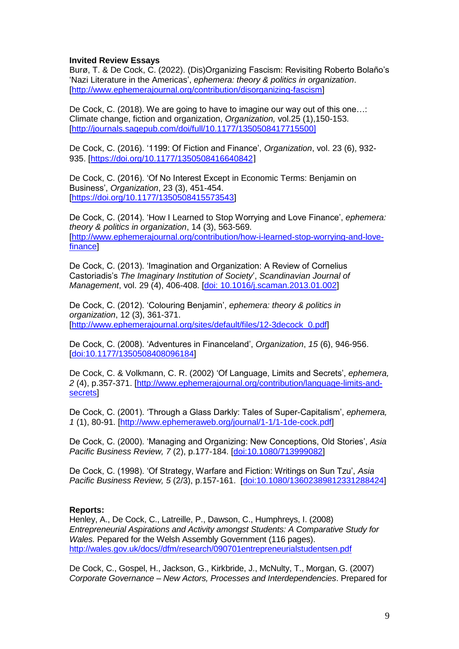# **Invited Review Essays**

Burø, T. & De Cock, C. (2022). (Dis)Organizing Fascism: Revisiting Roberto Bolaño's 'Nazi Literature in the Americas', *ephemera: theory & politics in organization*. [\[http://www.ephemerajournal.org/contribution/disorganizing-fascism\]](http://www.ephemerajournal.org/contribution/disorganizing-fascism)

De Cock, C. (2018). We are going to have to imagine our way out of this one…: Climate change, fiction and organization, *Organization,* vol.25 (1),150-153. [\[http://journals.sagepub.com/doi/full/10.1177/1350508417715500\]](http://journals.sagepub.com/doi/full/10.1177/1350508417715500)

De Cock, C. (2016). '1199: Of Fiction and Finance', *Organization*, vol. 23 (6), 932- 935. [\[https://doi.org/10.1177/1350508416640842](https://doi.org/10.1177/1350508416640842)]

De Cock, C. (2016). 'Of No Interest Except in Economic Terms: Benjamin on Business', *Organization*, 23 (3), 451-454. [\[https://doi.org/10.1177/1350508415573543\]](https://doi.org/10.1177/1350508415573543)

De Cock, C. (2014). 'How I Learned to Stop Worrying and Love Finance', *ephemera: theory & politics in organization*, 14 (3), 563-569. [\[http://www.ephemerajournal.org/contribution/how-i-learned-stop-worrying-and-love](http://www.ephemerajournal.org/contribution/how-i-learned-stop-worrying-and-love-finance)[finance\]](http://www.ephemerajournal.org/contribution/how-i-learned-stop-worrying-and-love-finance)

De Cock, C. (2013). 'Imagination and Organization: A Review of Cornelius Castoriadis's *The Imaginary Institution of Society*', *Scandinavian Journal of Management*, vol. 29 (4), 406-408. [\[doi: 10.1016/j.scaman.2013.01.002\]](http://dx.doi.org/10.1016/j.scaman.2013.01.002)

De Cock, C. (2012). 'Colouring Benjamin', *ephemera: theory & politics in organization*, 12 (3), 361-371. [\[http://www.ephemerajournal.org/sites/default/files/12-3decock\\_0.pdf\]](http://www.ephemerajournal.org/sites/default/files/12-3decock_0.pdf)

De Cock, C. (2008). 'Adventures in Financeland', *Organization*, *15* (6), 946-956. [\[doi:10.1177/1350508408096184\]](http://dx.doi.org/10.1177/1350508408096184)

De Cock, C. & Volkmann, C. R. (2002) 'Of Language, Limits and Secrets', *ephemera, 2* (4), p.357-371. [\[http://www.ephemerajournal.org/contribution/language-limits-and](http://www.ephemerajournal.org/contribution/language-limits-and-secrets)[secrets\]](http://www.ephemerajournal.org/contribution/language-limits-and-secrets)

De Cock, C. (2001). 'Through a Glass Darkly: Tales of Super-Capitalism', *ephemera, 1* (1), 80-91. [\[http://www.ephemeraweb.org/journal/1-1/1-1de-cock.pdf\]](http://www.ephemeraweb.org/journal/1-1/1-1de-cock.pdf)

De Cock, C. (2000). 'Managing and Organizing: New Conceptions, Old Stories', *Asia Pacific Business Review, 7* (2), p.177-184. [\[doi:10.1080/713999082\]](http://dx.doi.org/10.1080/713999082)

De Cock, C. (1998). 'Of Strategy, Warfare and Fiction: Writings on Sun Tzu', *Asia Pacific Business Review, 5* (2/3), p.157-161. [\[doi:10.1080/13602389812331288424\]](http://dx.doi.org/10.1080/13602389812331288424)

### **Reports:**

Henley, A., De Cock, C., Latreille, P., Dawson, C., Humphreys, I. (2008) *Entrepreneurial Aspirations and Activity amongst Students: A Comparative Study for Wales.* Pepared for the Welsh Assembly Government (116 pages). [http://wales.gov.uk/docs//dfm/research/090701entrepreneurialstudentsen.pdf](http://wales.gov.uk/docs/dfm/research/090701entrepreneurialstudentsen.pdf)

De Cock, C., Gospel, H., Jackson, G., Kirkbride, J., McNulty, T., Morgan, G. (2007) *Corporate Governance – New Actors, Processes and Interdependencies*. Prepared for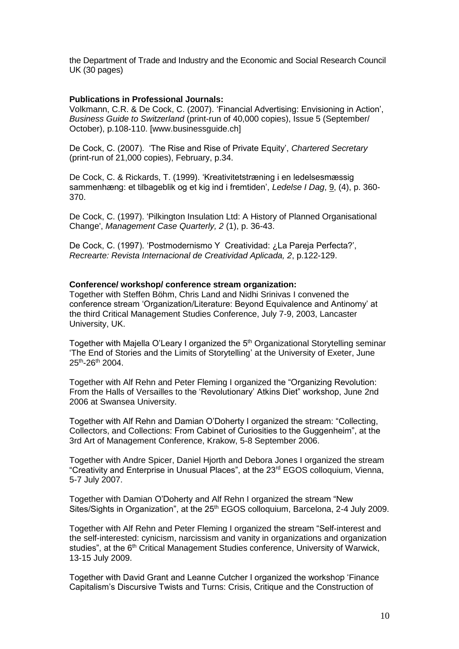the Department of Trade and Industry and the Economic and Social Research Council UK (30 pages)

### **Publications in Professional Journals:**

Volkmann, C.R. & De Cock, C. (2007). 'Financial Advertising: Envisioning in Action', *Business Guide to Switzerland* (print-run of 40,000 copies), Issue 5 (September/ October), p.108-110. [www.businessguide.ch]

De Cock, C. (2007). 'The Rise and Rise of Private Equity', *Chartered Secretary* (print-run of 21,000 copies), February, p.34.

De Cock, C. & Rickards, T. (1999). 'Kreativitetstræning i en ledelsesmæssig sammenhæng: et tilbageblik og et kig ind i fremtiden', *Ledelse I Dag*, 9, (4), p. 360- 370.

De Cock, C. (1997). 'Pilkington Insulation Ltd: A History of Planned Organisational Change', *Management Case Quarterly, 2* (1), p. 36-43.

De Cock, C. (1997). 'Postmodernismo Y Creatividad: ¿La Pareja Perfecta?', *Recrearte: Revista Internacional de Creatividad Aplicada, 2*, p.122-129.

### **Conference/ workshop/ conference stream organization:**

Together with Steffen Böhm, Chris Land and Nidhi Srinivas I convened the conference stream 'Organization/Literature: Beyond Equivalence and Antinomy' at the third Critical Management Studies Conference, July 7-9, 2003, Lancaster University, UK.

Together with Majella O'Leary I organized the 5<sup>th</sup> Organizational Storytelling seminar 'The End of Stories and the Limits of Storytelling' at the University of Exeter, June 25<sup>th</sup>-26<sup>th</sup> 2004.

Together with Alf Rehn and Peter Fleming I organized the "Organizing Revolution: From the Halls of Versailles to the 'Revolutionary' Atkins Diet" workshop, June 2nd 2006 at Swansea University.

Together with Alf Rehn and Damian O'Doherty I organized the stream: "Collecting, Collectors, and Collections: From Cabinet of Curiosities to the Guggenheim", at the 3rd Art of Management Conference, Krakow, 5-8 September 2006.

Together with Andre Spicer, Daniel Hjorth and Debora Jones I organized the stream "Creativity and Enterprise in Unusual Places", at the 23rd EGOS colloquium, Vienna, 5-7 July 2007.

Together with Damian O'Doherty and Alf Rehn I organized the stream "New Sites/Sights in Organization", at the 25<sup>th</sup> EGOS colloquium, Barcelona, 2-4 July 2009.

Together with Alf Rehn and Peter Fleming I organized the stream "Self-interest and the self-interested: cynicism, narcissism and vanity in organizations and organization studies", at the 6<sup>th</sup> Critical Management Studies conference, University of Warwick, 13-15 July 2009.

Together with David Grant and Leanne Cutcher I organized the workshop 'Finance Capitalism's Discursive Twists and Turns: Crisis, Critique and the Construction of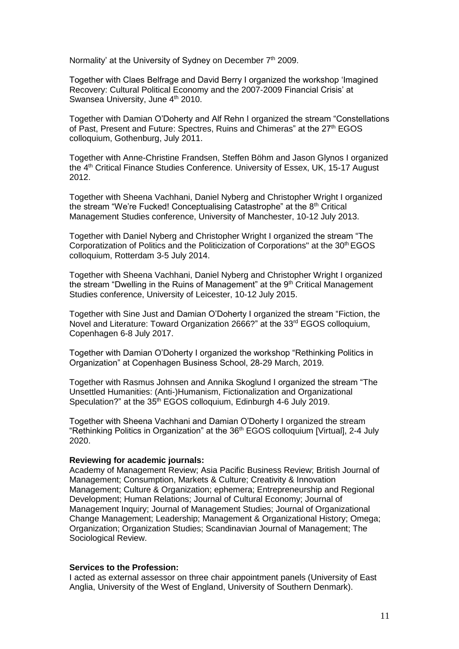Normality' at the University of Sydney on December 7<sup>th</sup> 2009.

Together with Claes Belfrage and David Berry I organized the workshop 'Imagined Recovery: Cultural Political Economy and the 2007-2009 Financial Crisis' at Swansea University, June 4<sup>th</sup> 2010.

Together with Damian O'Doherty and Alf Rehn I organized the stream "Constellations of Past, Present and Future: Spectres, Ruins and Chimeras" at the 27<sup>th</sup> EGOS colloquium, Gothenburg, July 2011.

Together with Anne-Christine Frandsen, Steffen Böhm and Jason Glynos I organized the 4<sup>th</sup> Critical Finance Studies Conference. University of Essex, UK, 15-17 August 2012.

Together with Sheena Vachhani, Daniel Nyberg and Christopher Wright I organized the stream "We're Fucked! Conceptualising Catastrophe" at the 8<sup>th</sup> Critical Management Studies conference, University of Manchester, 10-12 July 2013.

Together with Daniel Nyberg and Christopher Wright I organized the stream "The Corporatization of Politics and the Politicization of Corporations" at the 30th EGOS colloquium, Rotterdam 3-5 July 2014.

Together with Sheena Vachhani, Daniel Nyberg and Christopher Wright I organized the stream "Dwelling in the Ruins of Management" at the 9<sup>th</sup> Critical Management Studies conference, University of Leicester, 10-12 July 2015.

Together with Sine Just and Damian O'Doherty I organized the stream "Fiction, the Novel and Literature: Toward Organization 2666?" at the 33rd EGOS colloquium, Copenhagen 6-8 July 2017.

Together with Damian O'Doherty I organized the workshop "Rethinking Politics in Organization" at Copenhagen Business School, 28-29 March, 2019.

Together with Rasmus Johnsen and Annika Skoglund I organized the stream "The Unsettled Humanities: (Anti-)Humanism, Fictionalization and Organizational Speculation?" at the 35<sup>th</sup> EGOS colloquium, Edinburgh 4-6 July 2019.

Together with Sheena Vachhani and Damian O'Doherty I organized the stream "Rethinking Politics in Organization" at the 36<sup>th</sup> EGOS colloquium [Virtual], 2-4 July 2020.

#### **Reviewing for academic journals:**

Academy of Management Review; Asia Pacific Business Review; British Journal of Management; Consumption, Markets & Culture; Creativity & Innovation Management; Culture & Organization; ephemera; Entrepreneurship and Regional Development; Human Relations; Journal of Cultural Economy; Journal of Management Inquiry; Journal of Management Studies; Journal of Organizational Change Management; Leadership; Management & Organizational History; Omega; Organization; Organization Studies; Scandinavian Journal of Management; The Sociological Review.

#### **Services to the Profession:**

I acted as external assessor on three chair appointment panels (University of East Anglia, University of the West of England, University of Southern Denmark).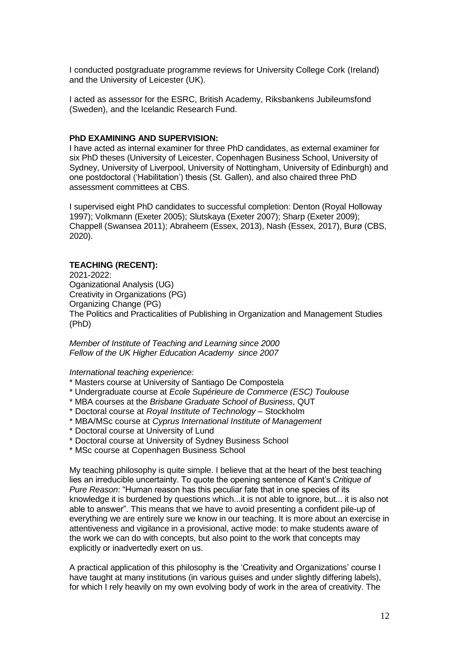I conducted postgraduate programme reviews for University College Cork (Ireland) and the University of Leicester (UK).

I acted as assessor for the ESRC, British Academy, Riksbankens Jubileumsfond (Sweden), and the Icelandic Research Fund.

### **PhD EXAMINING AND SUPERVISION:**

I have acted as internal examiner for three PhD candidates, as external examiner for six PhD theses (University of Leicester, Copenhagen Business School, University of Sydney, University of Liverpool, University of Nottingham, University of Edinburgh) and one postdoctoral ('Habilitation') thesis (St. Gallen), and also chaired three PhD assessment committees at CBS.

I supervised eight PhD candidates to successful completion: Denton (Royal Holloway 1997); Volkmann (Exeter 2005); Slutskaya (Exeter 2007); Sharp (Exeter 2009); Chappell (Swansea 2011); Abraheem (Essex, 2013), Nash (Essex, 2017), Burø (CBS, 2020).

### **TEACHING (RECENT):**

2021-2022: Oganizational Analysis (UG) Creativity in Organizations (PG) Organizing Change (PG) The Politics and Practicalities of Publishing in Organization and Management Studies (PhD)

*Member of Institute of Teaching and Learning since 2000 Fellow of the UK Higher Education Academy since 2007*

### *International teaching experience:*

- \* Masters course at University of Santiago De Compostela
- \* Undergraduate course at *Ecole Supérieure de Commerce (ESC) Toulouse*
- \* MBA courses at the *Brisbane Graduate School of Business*, QUT
- \* Doctoral course at *Royal Institute of Technology* Stockholm
- \* MBA/MSc course at *Cyprus International Institute of Management*
- \* Doctoral course at University of Lund
- \* Doctoral course at University of Sydney Business School
- \* MSc course at Copenhagen Business School

My teaching philosophy is quite simple. I believe that at the heart of the best teaching lies an irreducible uncertainty. To quote the opening sentence of Kant's *Critique of Pure Reason*: "Human reason has this peculiar fate that in one species of its knowledge it is burdened by questions which...it is not able to ignore, but... it is also not able to answer". This means that we have to avoid presenting a confident pile-up of everything we are entirely sure we know in our teaching. It is more about an exercise in attentiveness and vigilance in a provisional, active mode: to make students aware of the work we can do with concepts, but also point to the work that concepts may explicitly or inadvertedly exert on us.

A practical application of this philosophy is the 'Creativity and Organizations' course I have taught at many institutions (in various guises and under slightly differing labels), for which I rely heavily on my own evolving body of work in the area of creativity. The